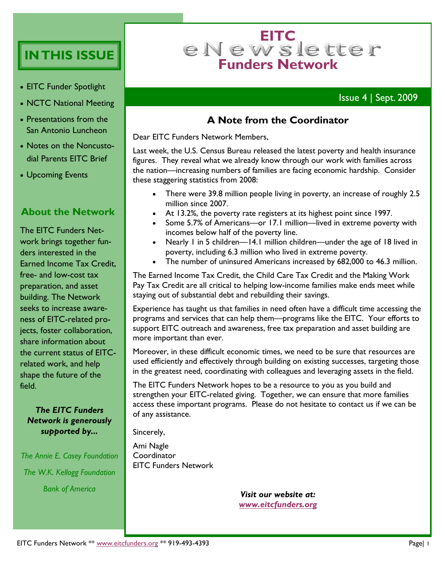# **IN THIS ISSUE**

- EITC Funder Spotlight
- NCTC National Meeting
- Presentations from the San Antonio Luncheon
- Notes on the Noncustodial Parents EITC Brief
- Upcoming Events

### **About the Network**

The EITC Funders Network brings together funders interested in the Earned Income Tax Credit, free- and low-cost tax preparation, and asset building. The Network seeks to increase awareness of EITC-related projects, foster collaboration, share information about the current status of EITCrelated work, and help shape the future of the field.

#### *The EITC Funders Network is generously supported by...*

*The Annie E. Casey Foundation The W.K. Kellogg Foundation Bank of America*

# e N e w s le tter **Funders Network**

# Issue 4 | Sept. 2009

## **A Note from the Coordinator**

Dear EITC Funders Network Members,

Last week, the U.S. Census Bureau released the latest poverty and health insurance figures. They reveal what we already know through our work with families across the nation—increasing numbers of families are facing economic hardship. Consider these staggering statistics from 2008:

- There were 39.8 million people living in poverty, an increase of roughly 2.5 million since 2007.
- At 13.2%, the poverty rate registers at its highest point since 1997.
- Some 5.7% of Americans—or 17.1 million—lived in extreme poverty with incomes below half of the poverty line.
- Nearly 1 in 5 children—14.1 million children—under the age of 18 lived in poverty, including 6.3 million who lived in extreme poverty.
- The number of uninsured Americans increased by 682,000 to 46.3 million.

The Earned Income Tax Credit, the Child Care Tax Credit and the Making Work Pay Tax Credit are all critical to helping low-income families make ends meet while staying out of substantial debt and rebuilding their savings.

Experience has taught us that families in need often have a difficult time accessing the programs and services that can help them—programs like the EITC. Your efforts to support EITC outreach and awareness, free tax preparation and asset building are more important than ever.

Moreover, in these difficult economic times, we need to be sure that resources are used efficiently and effectively through building on existing successes, targeting those in the greatest need, coordinating with colleagues and leveraging assets in the field.

The EITC Funders Network hopes to be a resource to you as you build and strengthen your EITC-related giving. Together, we can ensure that more families access these important programs. Please do not hesitate to contact us if we can be of any assistance.

Sincerely,

Ami Nagle **Coordinator** EITC Funders Network

> *Visit our website at: [www.eitcfunders.org](http://www.eitcfunders.org/)*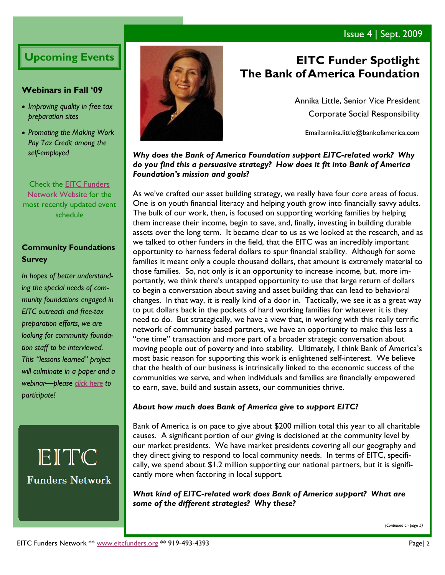# Issue 4 | Sept. 2009

# **Upcoming Events**

#### **Webinars in Fall "09**

- *Improving quality in free tax preparation sites*
- *Promoting the Making Work Pay Tax Credit among the self-employed*

Check the [EITC Funders](http://eitcfunders.org/upcoming.html)  [Network Website](http://eitcfunders.org/upcoming.html) for the most recently updated event schedule

### **Community Foundations Survey**

*In hopes of better understanding the special needs of community foundations engaged in EITC outreach and free-tax preparation efforts, we are looking for community foundation staff to be interviewed. This "lessons learned" project will culminate in a paper and a webinar—please [click here](http://survey.constantcontact.com/survey/a07e2ka4bhbfyn9bi3q/start) to participate!*

EITC **Funders Network** 



# **EITC Funder Spotlight The Bank of America Foundation**

Annika Little, Senior Vice President Corporate Social Responsibility

Email:annika.little@bankofamerica.com

#### *Why does the Bank of America Foundation support EITC-related work? Why do you find this a persuasive strategy? How does it fit into Bank of America Foundation's mission and goals?*

As we've crafted our asset building strategy, we really have four core areas of focus. One is on youth financial literacy and helping youth grow into financially savvy adults. The bulk of our work, then, is focused on supporting working families by helping them increase their income, begin to save, and, finally, investing in building durable assets over the long term. It became clear to us as we looked at the research, and as we talked to other funders in the field, that the EITC was an incredibly important opportunity to harness federal dollars to spur financial stability. Although for some families it meant only a couple thousand dollars, that amount is extremely material to those families. So, not only is it an opportunity to increase income, but, more importantly, we think there's untapped opportunity to use that large return of dollars to begin a conversation about saving and asset building that can lead to behavioral changes. In that way, it is really kind of a door in. Tactically, we see it as a great way to put dollars back in the pockets of hard working families for whatever it is they need to do. But strategically, we have a view that, in working with this really terrific network of community based partners, we have an opportunity to make this less a "one time" transaction and more part of a broader strategic conversation about moving people out of poverty and into stability. Ultimately, I think Bank of America's most basic reason for supporting this work is enlightened self-interest. We believe that the health of our business is intrinsically linked to the economic success of the communities we serve, and when individuals and families are financially empowered to earn, save, build and sustain assets, our communities thrive.

#### *About how much does Bank of America give to support EITC?*

Bank of America is on pace to give about \$200 million total this year to all charitable causes. A significant portion of our giving is decisioned at the community level by our market presidents. We have market presidents covering all our geography and they direct giving to respond to local community needs. In terms of EITC, specifically, we spend about \$1.2 million supporting our national partners, but it is significantly more when factoring in local support.

*What kind of EITC-related work does Bank of America support? What are some of the different strategies? Why these?* 

*(Continued on page 5)*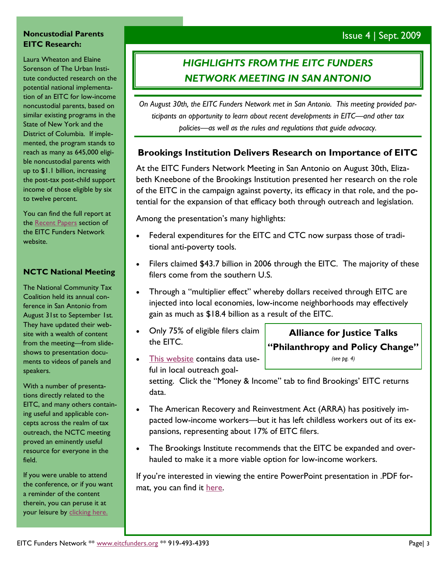### Issue 4 | Sept. 2009

#### **Noncustodial Parents EITC Research:**

Laura Wheaton and Elaine Sorenson of The Urban Institute conducted research on the potential national implementation of an EITC for low-income noncustodial parents, based on similar existing programs in the State of New York and the District of Columbia. If implemented, the program stands to reach as many as 645,000 eligible noncustodial parents with up to \$1.1 billion, increasing the post-tax post-child support income of those eligible by six to twelve percent.

You can find the full report at the [Recent Papers](http://www.eitcfunders.org/library.html#recent) section of the EITC Funders Network website.

#### **NCTC National Meeting**

The National Community Tax Coalition held its annual conference in San Antonio from August 31st to September 1st. They have updated their website with a wealth of content from the meeting—from slideshows to presentation documents to videos of panels and speakers.

With a number of presentations directly related to the EITC, and many others containing useful and applicable concepts across the realm of tax outreach, the NCTC meeting proved an eminently useful resource for everyone in the field.

If you were unable to attend the conference, or if you want a reminder of the content therein, you can peruse it at your leisure by [clicking here.](http://www.tax-coalition.org/aug2009index.cfm)

# *HIGHLIGHTS FROM THE EITC FUNDERS NETWORK MEETING IN SAN ANTONIO*

*On August 30th, the EITC Funders Network met in San Antonio. This meeting provided participants an opportunity to learn about recent developments in EITC—and other tax policies—as well as the rules and regulations that guide advocacy.*

### **Brookings Institution Delivers Research on Importance of EITC**

At the EITC Funders Network Meeting in San Antonio on August 30th, Elizabeth Kneebone of the Brookings Institution presented her research on the role of the EITC in the campaign against poverty, its efficacy in that role, and the potential for the expansion of that efficacy both through outreach and legislation.

Among the presentation's many highlights:

- Federal expenditures for the EITC and CTC now surpass those of traditional anti-poverty tools.
- Filers claimed \$43.7 billion in 2006 through the EITC. The majority of these filers come from the southern U.S.
- Through a "multiplier effect" whereby dollars received through EITC are injected into local economies, low-income neighborhoods may effectively gain as much as \$18.4 billion as a result of the EITC.
- Only 75% of eligible filers claim the EITC.
- [This website](http://www.policymap.com/map) contains data useful in local outreach goal-

**Alliance for Justice Talks "Philanthropy and Policy Change"** *(see pg. 4)*

setting. Click the "Money & Income" tab to find Brookings' EITC returns data.

- The American Recovery and Reinvestment Act (ARRA) has positively impacted low-income workers—but it has left childless workers out of its expansions, representing about 17% of EITC filers.
- The Brookings Institute recommends that the EITC be expanded and overhauled to make it a more viable option for low-income workers.

If you're interested in viewing the entire PowerPoint presentation in .PDF format, you can find it [here.](http://eitcfunders.org/documents/Brookings_09-08-30EITCFundersNetwork.pdf)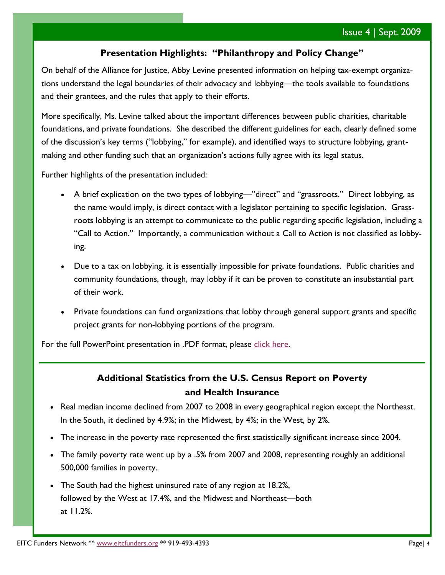### **Presentation Highlights: "Philanthropy and Policy Change"**

On behalf of the Alliance for Justice, Abby Levine presented information on helping tax-exempt organizations understand the legal boundaries of their advocacy and lobbying—the tools available to foundations and their grantees, and the rules that apply to their efforts.

More specifically, Ms. Levine talked about the important differences between public charities, charitable foundations, and private foundations. She described the different guidelines for each, clearly defined some of the discussion's key terms ("lobbying," for example), and identified ways to structure lobbying, grantmaking and other funding such that an organization's actions fully agree with its legal status.

Further highlights of the presentation included:

- A brief explication on the two types of lobbying—"direct" and "grassroots." Direct lobbying, as the name would imply, is direct contact with a legislator pertaining to specific legislation. Grassroots lobbying is an attempt to communicate to the public regarding specific legislation, including a "Call to Action." Importantly, a communication without a Call to Action is not classified as lobbying.
- Due to a tax on lobbying, it is essentially impossible for private foundations. Public charities and community foundations, though, may lobby if it can be proven to constitute an insubstantial part of their work.
- Private foundations can fund organizations that lobby through general support grants and specific project grants for non-lobbying portions of the program.

For the full PowerPoint presentation in .PDF format, please [click here.](http://eitcfunders.org/documents/afj_presentation.pdf)

### **Additional Statistics from the U.S. Census Report on Poverty and Health Insurance**

- Real median income declined from 2007 to 2008 in every geographical region except the Northeast. In the South, it declined by 4.9%; in the Midwest, by 4%; in the West, by 2%.
- The increase in the poverty rate represented the first statistically significant increase since 2004.
- The family poverty rate went up by a .5% from 2007 and 2008, representing roughly an additional 500,000 families in poverty.
- The South had the highest uninsured rate of any region at 18.2%, followed by the West at 17.4%, and the Midwest and Northeast—both at 11.2%.